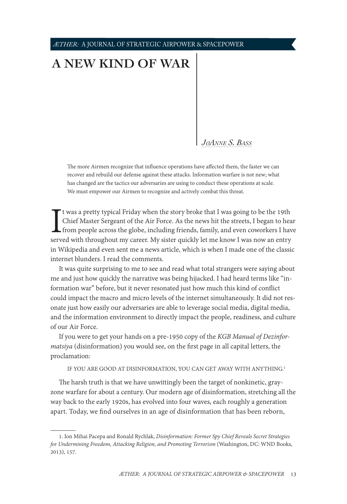*ÆTHER:* A JOURNAL OF STRATEGIC AIRPOWER & SPACEPOWER

## **[A NEW KIND OF WAR](#page-0-0)**

*JoAnne S. B* 

The more Airmen recognize that influence operations have affected them, the faster we can recover and rebuild our defense against these attacks. Information warfare is not new; what has changed are the tactics our adversaries are using to conduct these operations at scale. We must empower our Airmen to recognize and actively combat this threat.

I<br>serv t was a pretty typical Friday when the story broke that I was going to be the 19th Chief Master Sergeant of the Air Force. As the news hit the streets, I began to hear from people across the globe, including friends, family, and even coworkers I have served with throughout my career. My sister quickly let me know I was now an entry in Wikipedia and even sent me a news article, which is when I made one of the classic internet blunders. I read the comments.

It was quite surprising to me to see and read what total strangers were saying about me and just how quickly the narrative was being hijacked. I had heard terms like "information war" before, but it never resonated just how much this kind of conflict could impact the macro and micro levels of the internet simultaneously. It did not resonate just how easily our adversaries are able to leverage social media, digital media, and the information environment to directly impact the people, readiness, and culture of our Air Force.

If you were to get your hands on a pre-1950 copy of the *KGB Manual of Dezinformatsiya* (disinformation) you would see, on the first page in all capital letters, the proclamation:

IF YOU ARE GOOD AT DISINFORMATION, YOU CAN GET AWAY WITH ANYTHING.<sup>1</sup>

The harsh truth is that we have unwittingly been the target of nonkinetic, grayzone warfare for about a century. Our modern age of disinformation, stretching all the way back to the early 1920s, has evolved into four waves, each roughly a generation apart. Today, we find ourselves in an age of disinformation that has been reborn,

<span id="page-0-0"></span><sup>1.</sup> Ion Mihai Pacepa and Ronald Rychlak, *Disinformation: Former Spy Chief Reveals Secret Strategies for Undermining Freedom, Attacking Religion, and Promoting Terrorism* (Washington, DC: WND Books, 2013), 157.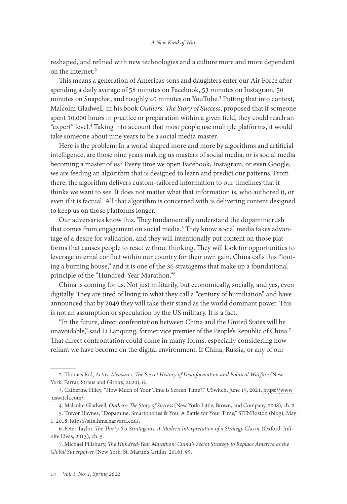reshaped, and refined with new technologies and a culture more and more dependent on the internet.<sup>2</sup>

This means a generation of America's sons and daughters enter our Air Force after spending a daily average of 58 minutes on Facebook, 53 minutes on Instagram, 50 minutes on Snapchat, and roughly 40 minutes on YouTube.3 Putting that into context, Malcolm Gladwell, in his book *Outliers: The Story of Success*, proposed that if someone spent 10,000 hours in practice or preparation within a given field, they could reach an "expert" level.4 Taking into account that most people use multiple platforms, it would take someone about nine years to be a social media master.

Here is the problem: In a world shaped more and more by algorithms and artificial intelligence, are those nine years making us masters of social media, or is social media becoming a master of us? Every time we open Facebook, Instagram, or even Google, we are feeding an algorithm that is designed to learn and predict our patterns. From there, the algorithm delivers custom-tailored information to our timelines that it thinks we want to see. It does not matter what that information is, who authored it, or even if it is factual. All that algorithm is concerned with is delivering content designed to keep us on those platforms longer.

Our adversaries know this. They fundamentally understand the dopamine rush that comes from engagement on social media.<sup>5</sup> They know social media takes advantage of a desire for validation, and they will intentionally put content on those platforms that causes people to react without thinking. They will look for opportunities to leverage internal conflict within our country for their own gain. China calls this "looting a burning house," and it is one of the 36 stratagems that make up a foundational principle of the "Hundred-Year Marathon."6

China is coming for us. Not just militarily, but economically, socially, and yes, even digitally. They are tired of living in what they call a "century of humiliation" and have announced that by 2049 they will take their stand as the world dominant power. This is not an assumption or speculation by the US military. It is a fact.

"In the future, direct confrontation between China and the United States will be unavoidable," said Li Lanquing, former vice premier of the People's Republic of China.<sup>7</sup> That direct confrontation could come in many forms, especially considering how reliant we have become on the digital environment. If China, Russia, or any of our

<sup>2.</sup> Thomas Rid, *Active Measures: The Secret History of Disinformation and Political Warfare* (New York: Farrar, Straus and Giroux, 2020), 6.

<sup>3.</sup> Catherine Hiley, "How Much of Your Time is Screen Time?," USwitch, June 15, 2021, [https://www](https://www.uswitch.com/mobiles/screentime-report/) [.uswitch.com/](https://www.uswitch.com/mobiles/screentime-report/).

<sup>4.</sup> Malcolm Gladwell, *Outliers: The Story of Success* (New York: Little, Brown, and Company, 2008), ch. 2.

<sup>5.</sup> Trevor Haynes, "Dopamine, Smartphones & You: A Battle for Your Time," SITNBoston (blog), May 1, 2018, [https://sitn.hms.harvard.edu/](https://sitn.hms.harvard.edu/flash/2018/dopamine-smartphones-battle-time/).

<sup>6.</sup> Peter Taylor, *The Thirty-Six Stratagems: A Modern Interpretation of a Strategy Classic* (Oxford: Infinite Ideas, 2013), ch. 5.

<sup>7.</sup> Michael Pillsbury, *The Hundred-Year Marathon: China's Secret Strategy to Replace America as the Global Superpower* (New York: St. Martin's Griffin, 2016), 95.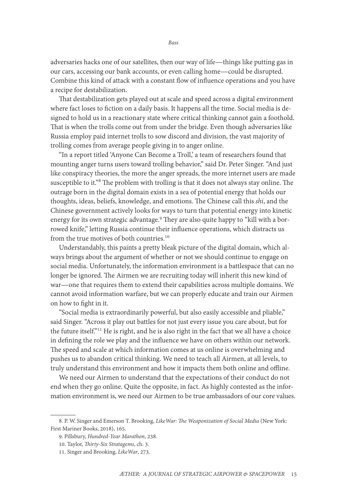adversaries hacks one of our satellites, then our way of life—things like putting gas in our cars, accessing our bank accounts, or even calling home—could be disrupted. Combine this kind of attack with a constant flow of influence operations and you have a recipe for destabilization.

That destabilization gets played out at scale and speed across a digital environment where fact loses to fiction on a daily basis. It happens all the time. Social media is designed to hold us in a reactionary state where critical thinking cannot gain a foothold. That is when the trolls come out from under the bridge. Even though adversaries like Russia employ paid internet trolls to sow discord and division, the vast majority of trolling comes from average people giving in to anger online.

"In a report titled 'Anyone Can Become a Troll,' a team of researchers found that mounting anger turns users toward trolling behavior," said Dr. Peter Singer. "And just like conspiracy theories, the more the anger spreads, the more internet users are made susceptible to it."8 The problem with trolling is that it does not always stay online. The outrage born in the digital domain exists in a sea of potential energy that holds our thoughts, ideas, beliefs, knowledge, and emotions. The Chinese call this *shi*, and the Chinese government actively looks for ways to turn that potential energy into kinetic energy for its own strategic advantage.<sup>9</sup> They are also quite happy to "kill with a borrowed knife," letting Russia continue their influence operations, which distracts us from the true motives of both countries.<sup>10</sup>

Understandably, this paints a pretty bleak picture of the digital domain, which always brings about the argument of whether or not we should continue to engage on social media. Unfortunately, the information environment is a battlespace that can no longer be ignored. The Airmen we are recruiting today will inherit this new kind of war—one that requires them to extend their capabilities across multiple domains. We cannot avoid information warfare, but we can properly educate and train our Airmen on how to fight in it.

"Social media is extraordinarily powerful, but also easily accessible and pliable," said Singer. "Across it play out battles for not just every issue you care about, but for the future itself."<sup>11</sup> He is right, and he is also right in the fact that we all have a choice in defining the role we play and the influence we have on others within our network. The speed and scale at which information comes at us online is overwhelming and pushes us to abandon critical thinking. We need to teach all Airmen, at all levels, to truly understand this environment and how it impacts them both online and offline.

We need our Airmen to understand that the expectations of their conduct do not end when they go online. Quite the opposite, in fact. As highly contested as the information environment is, we need our Airmen to be true ambassadors of our core values.

<sup>8.</sup> P. W. Singer and Emerson T. Brooking, *LikeWar: The Weaponization of Social Media* (New York: First Mariner Books, 2018), 165.

<sup>9.</sup> Pillsbury, *Hundred-Year Marathon*, 238.

<sup>10.</sup> Taylor, *Thirty-Six Stratagems*, ch. 3.

<sup>11.</sup> Singer and Brooking, *LikeWar*, 273.